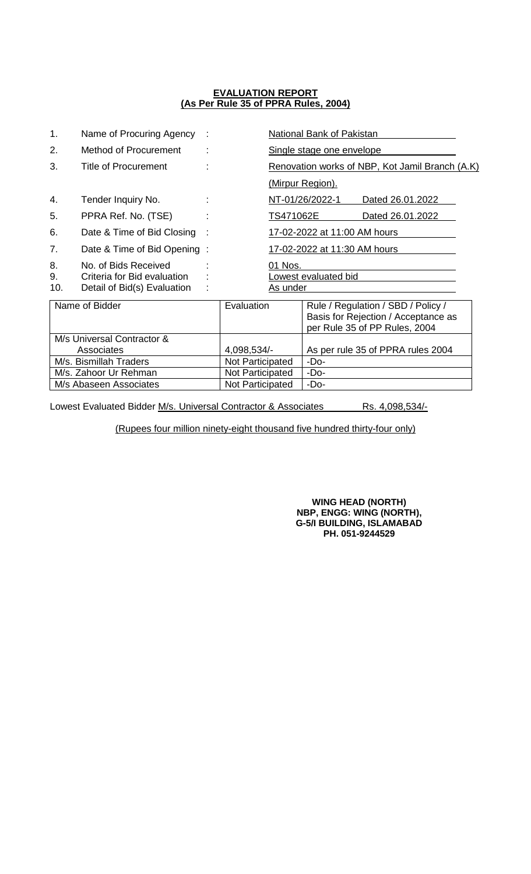| 1.                     | Name of Procuring Agency                            |                  |                                                 |                                  | National Bank of Pakistan                                                                                  |                  |  |
|------------------------|-----------------------------------------------------|------------------|-------------------------------------------------|----------------------------------|------------------------------------------------------------------------------------------------------------|------------------|--|
| 2.                     | Method of Procurement                               |                  |                                                 | <u>Single stage one envelope</u> |                                                                                                            |                  |  |
| 3.                     | <b>Title of Procurement</b>                         |                  | Renovation works of NBP, Kot Jamil Branch (A.K) |                                  |                                                                                                            |                  |  |
|                        |                                                     |                  |                                                 |                                  | (Mirpur Region).                                                                                           |                  |  |
| 4.                     | Tender Inquiry No.                                  |                  |                                                 |                                  | NT-01/26/2022-1                                                                                            | Dated 26.01.2022 |  |
| 5.                     | PPRA Ref. No. (TSE)                                 |                  |                                                 | TS471062E<br>Dated 26.01.2022    |                                                                                                            |                  |  |
| 6.                     | Date & Time of Bid Closing                          |                  | 17-02-2022 at 11:00 AM hours                    |                                  |                                                                                                            |                  |  |
| 7.                     | Date & Time of Bid Opening:                         |                  | 17-02-2022 at 11:30 AM hours                    |                                  |                                                                                                            |                  |  |
| 8.<br>9.               | No. of Bids Received<br>Criteria for Bid evaluation |                  | 01 Nos.<br>Lowest evaluated bid                 |                                  |                                                                                                            |                  |  |
| 10.                    | Detail of Bid(s) Evaluation                         |                  |                                                 | As under                         |                                                                                                            |                  |  |
| Name of Bidder         |                                                     |                  | Evaluation                                      |                                  | Rule / Regulation / SBD / Policy /<br>Basis for Rejection / Acceptance as<br>per Rule 35 of PP Rules, 2004 |                  |  |
|                        | M/s Universal Contractor &                          |                  |                                                 |                                  |                                                                                                            |                  |  |
| Associates             |                                                     |                  | 4,098,534/-                                     |                                  | As per rule 35 of PPRA rules 2004                                                                          |                  |  |
| M/s. Bismillah Traders |                                                     |                  | Not Participated                                |                                  | -Do-                                                                                                       |                  |  |
| M/s. Zahoor Ur Rehman  |                                                     | Not Participated |                                                 | $-Do-$                           |                                                                                                            |                  |  |
| M/s Abaseen Associates |                                                     |                  | Not Participated                                |                                  | -Do-                                                                                                       |                  |  |

Lowest Evaluated Bidder M/s. Universal Contractor & Associates Rs. 4,098,534/-

(Rupees four million ninety-eight thousand five hundred thirty-four only)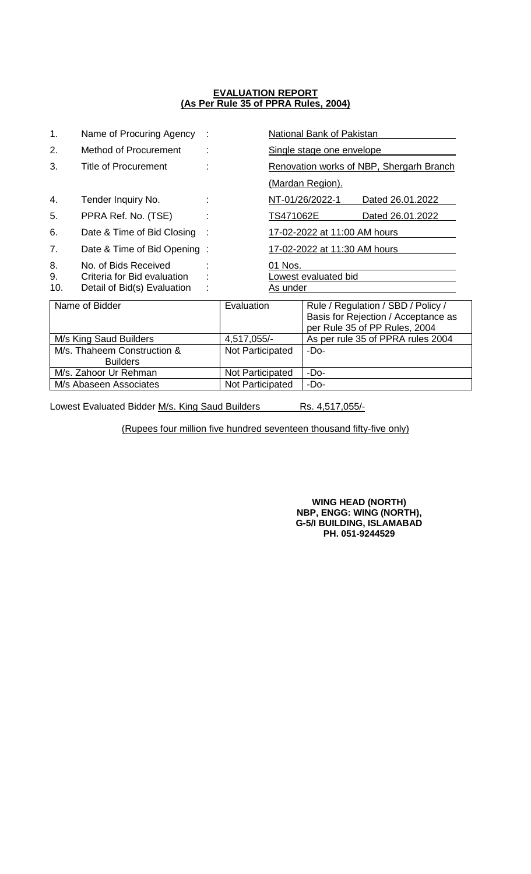| 1.                                             | Name of Procuring Agency                                                           |             |                                             |                                   | National Bank of Pakistan                                                                                  |                  |  |
|------------------------------------------------|------------------------------------------------------------------------------------|-------------|---------------------------------------------|-----------------------------------|------------------------------------------------------------------------------------------------------------|------------------|--|
| 2.                                             | <b>Method of Procurement</b>                                                       |             | Single stage one envelope                   |                                   |                                                                                                            |                  |  |
| 3.                                             | Title of Procurement                                                               |             | Renovation works of NBP, Shergarh Branch    |                                   |                                                                                                            |                  |  |
|                                                |                                                                                    |             |                                             |                                   | (Mardan Region).                                                                                           |                  |  |
| 4.                                             | Tender Inquiry No.                                                                 |             |                                             |                                   | NT-01/26/2022-1                                                                                            | Dated 26.01.2022 |  |
| 5.                                             | PPRA Ref. No. (TSE)                                                                |             |                                             | TS471062E<br>Dated 26.01.2022     |                                                                                                            |                  |  |
| 6.                                             | Date & Time of Bid Closing                                                         |             | 17-02-2022 at 11:00 AM hours                |                                   |                                                                                                            |                  |  |
| 7.                                             | Date & Time of Bid Opening:                                                        |             | 17-02-2022 at 11:30 AM hours                |                                   |                                                                                                            |                  |  |
| 8.<br>9.<br>10.                                | No. of Bids Received<br>Criteria for Bid evaluation<br>Detail of Bid(s) Evaluation |             | 01 Nos.<br>owest evaluated bid.<br>As under |                                   |                                                                                                            |                  |  |
| Name of Bidder                                 |                                                                                    |             | Evaluation                                  |                                   | Rule / Regulation / SBD / Policy /<br>Basis for Rejection / Acceptance as<br>per Rule 35 of PP Rules, 2004 |                  |  |
| M/s King Saud Builders                         |                                                                                    | 4,517,055/- |                                             | As per rule 35 of PPRA rules 2004 |                                                                                                            |                  |  |
| M/s. Thaheem Construction &<br><b>Builders</b> |                                                                                    |             | Not Participated                            |                                   | -Do-                                                                                                       |                  |  |
| M/s. Zahoor Ur Rehman                          |                                                                                    |             | Not Participated                            |                                   | $-Do-$                                                                                                     |                  |  |
| M/s Abaseen Associates                         |                                                                                    |             | Not Participated                            |                                   | $-Do-$                                                                                                     |                  |  |

Lowest Evaluated Bidder M/s. King Saud Builders Rs. 4,517,055/-

(Rupees four million five hundred seventeen thousand fifty-five only)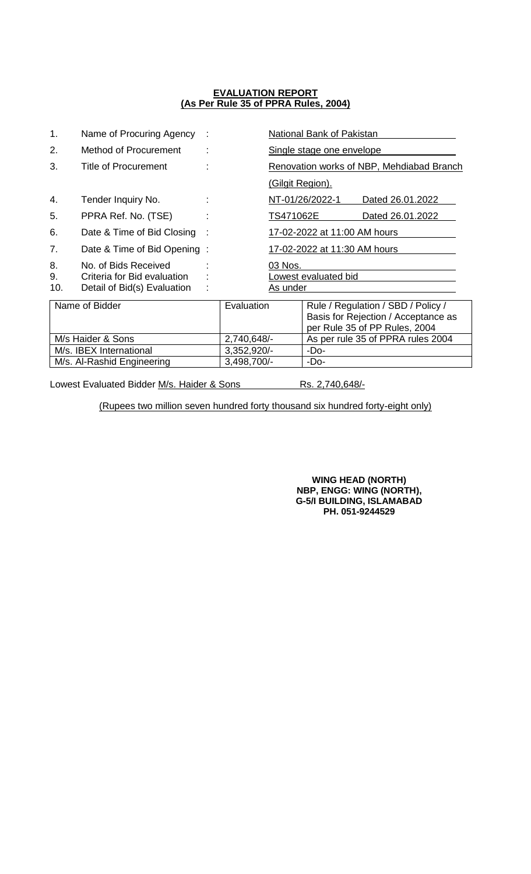| 1.                         | Name of Procuring Agency                                                           |                                             | National Bank of Pakistan                 |                                                                                                            |  |
|----------------------------|------------------------------------------------------------------------------------|---------------------------------------------|-------------------------------------------|------------------------------------------------------------------------------------------------------------|--|
| 2.                         | Method of Procurement                                                              |                                             | Single stage one envelope                 |                                                                                                            |  |
| 3.                         | Title of Procurement                                                               |                                             | Renovation works of NBP, Mehdiabad Branch |                                                                                                            |  |
|                            |                                                                                    |                                             | (Gilgit Region).                          |                                                                                                            |  |
| 4.                         | Tender Inquiry No.                                                                 |                                             |                                           | NT-01/26/2022-1<br>Dated 26.01.2022                                                                        |  |
| 5.                         | PPRA Ref. No. (TSE)                                                                |                                             | TS471062E<br>Dated 26.01.2022             |                                                                                                            |  |
| 6.                         | Date & Time of Bid Closing                                                         |                                             | 17-02-2022 at 11:00 AM hours              |                                                                                                            |  |
| 7.                         | Date & Time of Bid Opening:                                                        | 17-02-2022 at 11:30 AM hours                |                                           |                                                                                                            |  |
| 8.<br>9.<br>10.            | No. of Bids Received<br>Criteria for Bid evaluation<br>Detail of Bid(s) Evaluation | 03 Nos.<br>Lowest evaluated bid<br>As under |                                           |                                                                                                            |  |
| Name of Bidder             |                                                                                    | Evaluation                                  |                                           | Rule / Regulation / SBD / Policy /<br>Basis for Rejection / Acceptance as<br>per Rule 35 of PP Rules, 2004 |  |
| M/s Haider & Sons          |                                                                                    | 2,740,648/-                                 |                                           | As per rule 35 of PPRA rules 2004                                                                          |  |
| M/s. IBEX International    |                                                                                    | 3,352,920/-                                 |                                           | -Do-                                                                                                       |  |
| M/s. Al-Rashid Engineering |                                                                                    | 3,498,700/-                                 |                                           | -Do-                                                                                                       |  |

Lowest Evaluated Bidder M/s. Haider & Sons Rs. 2,740,648/-

(Rupees two million seven hundred forty thousand six hundred forty-eight only)